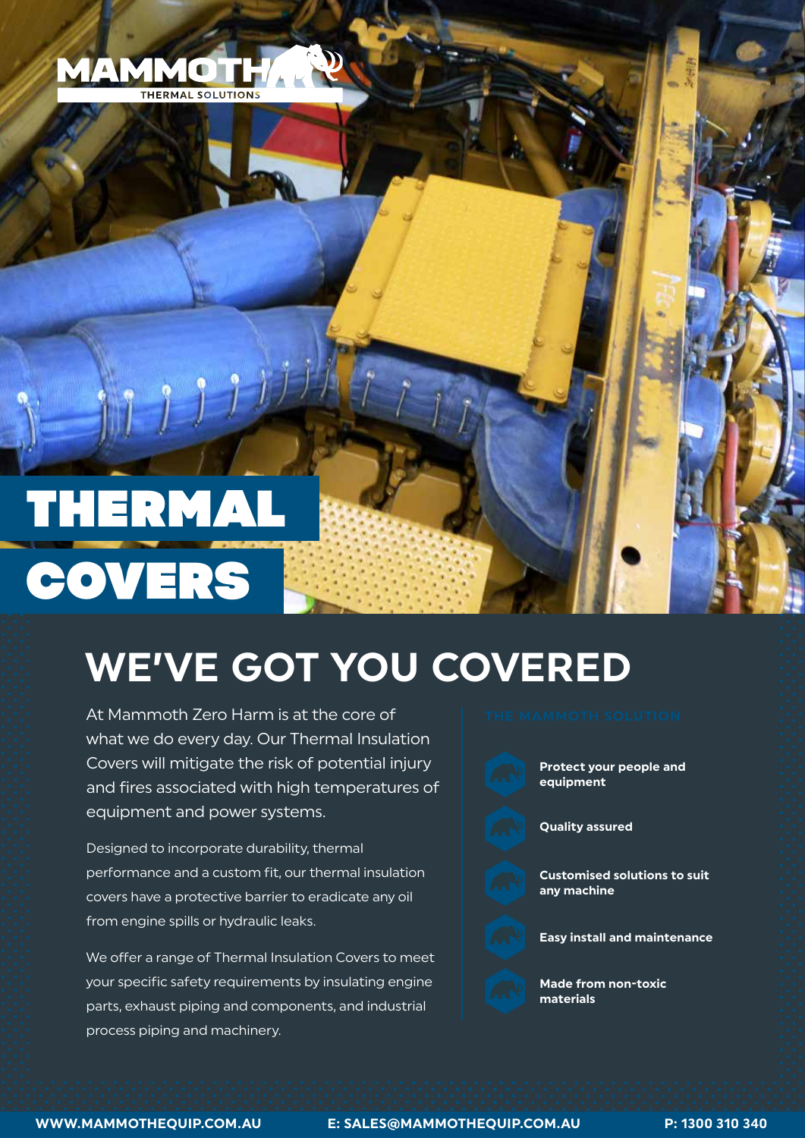

# THERMAL COVERS

## **WE'VE GOT YOU COVERED**

At Mammoth Zero Harm is at the core of what we do every day. Our Thermal Insulation Covers will mitigate the risk of potential injury and fires associated with high temperatures of equipment and power systems.

Designed to incorporate durability, thermal performance and a custom fit, our thermal insulation covers have a protective barrier to eradicate any oil from engine spills or hydraulic leaks.

We offer a range of Thermal Insulation Covers to meet your specific safety requirements by insulating engine parts, exhaust piping and components, and industrial process piping and machinery.



**Protect your people and equipment**

**Quality assured** 

**Customised solutions to suit any machine**



**Made from non-toxic materials**